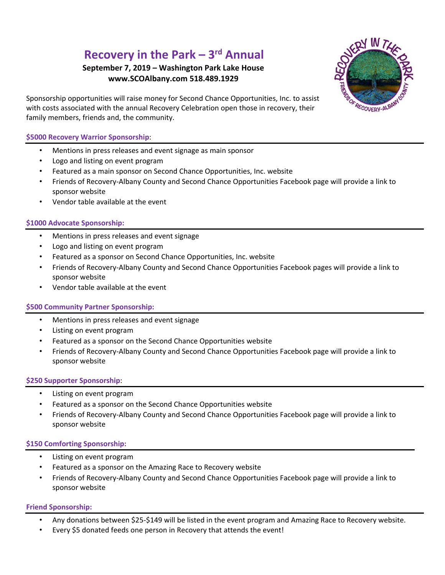# **Recovery in the Park – 3 rd Annual**

## **September 7, 2019 – Washington Park Lake House [www.SCOAlbany.com](http://www.scoalbany.com/) 518.489.1929**



Sponsorship opportunities will raise money for Second Chance Opportunities, Inc. to assist with costs associated with the annual Recovery Celebration open those in recovery, their family members, friends and, the community.

### **\$5000 Recovery Warrior Sponsorship**:

- Mentions in press releases and event signage as main sponsor
- Logo and listing on event program
- Featured as a main sponsor on Second Chance Opportunities, Inc. website
- Friends of Recovery-Albany County and Second Chance Opportunities Facebook page will provide a link to sponsor website
- Vendor table available at the event

#### **\$1000 Advocate Sponsorship:**

- Mentions in press releases and event signage
- Logo and listing on event program
- Featured as a sponsor on Second Chance Opportunities, Inc. website
- Friends of Recovery-Albany County and Second Chance Opportunities Facebook pages will provide a link to sponsor website
- Vendor table available at the event

#### **\$500 Community Partner Sponsorship:**

- Mentions in press releases and event signage
- Listing on event program
- Featured as a sponsor on the Second Chance Opportunities website
- Friends of Recovery-Albany County and Second Chance Opportunities Facebook page will provide a link to sponsor website

#### **\$250 Supporter Sponsorship**:

- Listing on event program
- Featured as a sponsor on the Second Chance Opportunities website
- Friends of Recovery-Albany County and Second Chance Opportunities Facebook page will provide a link to sponsor website

#### **\$150 Comforting Sponsorship:**

- Listing on event program
- Featured as a sponsor on the Amazing Race to Recovery website
- Friends of Recovery-Albany County and Second Chance Opportunities Facebook page will provide a link to sponsor website

#### **Friend Sponsorship:**

- Any donations between \$25-\$149 will be listed in the event program and Amazing Race to Recovery website.
- Every \$5 donated feeds one person in Recovery that attends the event!